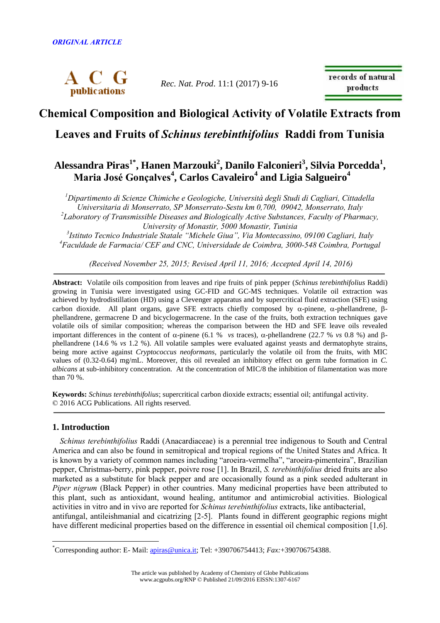

*Rec. Nat. Prod*. 11:1 (2017) 9-16

records of natural products

# **Chemical Composition and Biological Activity of Volatile Extracts from**

**Leaves and Fruits of** *Schinus terebinthifolius* **Raddi from Tunisia**

## **Alessandra Piras1\* , Hanen Marzouki<sup>2</sup> , Danilo Falconieri<sup>3</sup> , Silvia Porcedda<sup>1</sup> , Maria José Gonçalves<sup>4</sup> , Carlos Cavaleiro<sup>4</sup> and Ligia Salgueiro<sup>4</sup>**

*<sup>1</sup>Dipartimento di Scienze Chimiche e Geologiche, Università degli Studi di Cagliari, Cittadella Universitaria di Monserrato, SP Monserrato-Sestu km 0,700, 09042, Monserrato, Italy 2 Laboratory of Transmissible Diseases and Biologically Active Substances, Faculty of Pharmacy, University of Monastir, 5000 Monastir, Tunisia*

<sup>3</sup> Istituto Tecnico Industriale Statale "Michele Giua", Via Montecassino, 09100 Cagliari, Italy *<sup>4</sup>Faculdade de Farmacia/ CEF and CNC, Universidade de Coimbra, 3000-548 Coimbra, Portugal*

*(Received November 25, 2015; Revised April 11, 2016; Accepted April 14, 2016)*

**Abstract:** Volatile oils composition from leaves and ripe fruits of pink pepper (*Schinus terebinthifolius* Raddi) growing in Tunisia were investigated using GC-FID and GC-MS techniques. Volatile oil extraction was achieved by hydrodistillation (HD) using a Clevenger apparatus and by supercritical fluid extraction (SFE) using carbon dioxide. All plant organs, gave SFE extracts chiefly composed by  $\alpha$ -pinene,  $\alpha$ -phellandrene,  $\beta$ phellandrene, germacrene D and bicyclogermacrene. In the case of the fruits, both extraction techniques gave volatile oils of similar composition; whereas the comparison between the HD and SFE leave oils revealed important differences in the content of  $\alpha$ -pinene (6.1 % *vs* traces),  $\alpha$ -phellandrene (22.7 % *vs* 0.8 %) and  $\beta$ phellandrene (14.6 % *vs* 1.2 %). All volatile samples were evaluated against yeasts and dermatophyte strains, being more active against *Cryptococcus neoformans*, particularly the volatile oil from the fruits, with MIC values of (0.32-0.64) mg/mL. Moreover, this oil revealed an inhibitory effect on germ tube formation in *C. albicans* at sub-inhibitory concentration. At the concentration of MIC/8 the inhibition of filamentation was more than 70 %.

**Keywords:** *Schinus terebinthifolius*; supercritical carbon dioxide extracts; essential oil; antifungal activity. © 2016 ACG Publications. All rights reserved.

## **1. Introduction**

 $\overline{a}$ 

*Schinus terebinthifolius* Raddi (Anacardiaceae) is a perennial tree indigenous to South and Central America and can also be found in semitropical and tropical regions of the United States and Africa. It is known by a variety of common names including "aroeira-vermelha", "aroeira-pimenteira", Brazilian pepper, Christmas-berry, pink pepper, poivre rose [1]. In Brazil, *S. terebinthifolius* dried fruits are also marketed as a substitute for black pepper and are occasionally found as a pink seeded adulterant in *Piper nigrum* (Black Pepper) in other countries. Many medicinal properties have been attributed to this plant, such as antioxidant, wound healing, antitumor and antimicrobial activities. Biological activities in vitro and in vivo are reported for *Schinus terebinthifolius* extracts, like antibacterial, antifungal, antileishmanial and cicatrizing [2-5]. Plants found in different geographic regions might have different medicinal properties based on the difference in essential oil chemical composition [1,6].

<sup>\*</sup>Corresponding author: E- Mail: [apiras@unica.it;](mailto:apiras@unica.it) Tel: +390706754413; *Fax:*+390706754388.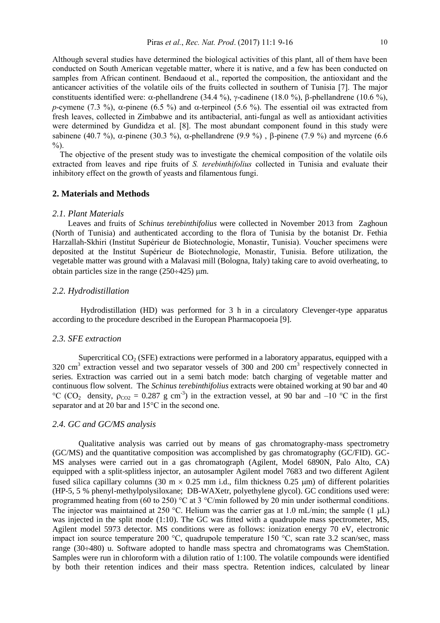Although several studies have determined the biological activities of this plant, all of them have been conducted on South American vegetable matter, where it is native, and a few has been conducted on samples from African continent. Bendaoud et al., reported the composition, the antioxidant and the anticancer activities of the volatile oils of the fruits collected in southern of Tunisia [7]. The major constituents identified were:  $\alpha$ -phellandrene (34.4 %),  $\gamma$ -cadinene (18.0 %),  $\beta$ -phellandrene (10.6 %), *p*-cymene (7.3 %),  $\alpha$ -pinene (6.5 %) and  $\alpha$ -terpineol (5.6 %). The essential oil was extracted from fresh leaves, collected in Zimbabwe and its antibacterial, anti-fungal as well as antioxidant activities were determined by Gundidza et al. [8]. The most abundant component found in this study were sabinene (40.7 %),  $\alpha$ -pinene (30.3 %),  $\alpha$ -phellandrene (9.9 %),  $\beta$ -pinene (7.9 %) and myrcene (6.6  $\frac{0}{0}$ .

The objective of the present study was to investigate the chemical composition of the volatile oils extracted from leaves and ripe fruits of *S. terebinthifolius* collected in Tunisia and evaluate their inhibitory effect on the growth of yeasts and filamentous fungi.

### **2. Materials and Methods**

#### *2.1. Plant Materials*

Leaves and fruits of *Schinus terebinthifolius* were collected in November 2013 from Zaghoun (North of Tunisia) and authenticated according to the flora of Tunisia by the botanist Dr. Fethia Harzallah-Skhiri (Institut Supérieur de Biotechnologie, Monastir, Tunisia). Voucher specimens were deposited at the Institut Supérieur de Biotechnologie, Monastir, Tunisia. Before utilization, the vegetable matter was ground with a Malavasi mill (Bologna, Italy) taking care to avoid overheating, to obtain particles size in the range  $(250 \div 425)$  µm.

### *2.2. Hydrodistillation*

Hydrodistillation (HD) was performed for 3 h in a circulatory Clevenger-type apparatus according to the procedure described in the European Pharmacopoeia [9].

#### *2.3. SFE extraction*

Supercritical  $CO<sub>2</sub>$  (SFE) extractions were performed in a laboratory apparatus, equipped with a 320 cm<sup>3</sup> extraction vessel and two separator vessels of 300 and 200 cm<sup>3</sup> respectively connected in series. Extraction was carried out in a semi batch mode: batch charging of vegetable matter and continuous flow solvent. The *Schinus terebinthifolius* extracts were obtained working at 90 bar and 40 °C (CO<sub>2</sub> density,  $\rho_{CO2} = 0.287$  g cm<sup>-3</sup>) in the extraction vessel, at 90 bar and -10 °C in the first separator and at 20 bar and 15°C in the second one*.* 

## *2.4. GC and GC/MS analysis*

Qualitative analysis was carried out by means of gas chromatography-mass spectrometry (GC/MS) and the quantitative composition was accomplished by gas chromatography (GC/FID). GC-MS analyses were carried out in a gas chromatograph (Agilent, Model 6890N, Palo Alto, CA) equipped with a split-splitless injector, an autosampler Agilent model 7683 and two different Agilent fused silica capillary columns (30 m  $\times$  0.25 mm i.d., film thickness 0.25 µm) of different polarities (HP-5, 5 % phenyl-methylpolysiloxane; DB-WAXetr, polyethylene glycol). GC conditions used were: programmed heating from (60 to 250) °C at 3 °C/min followed by 20 min under isothermal conditions. The injector was maintained at 250 °C. Helium was the carrier gas at 1.0 mL/min; the sample (1  $\mu$ L) was injected in the split mode (1:10). The GC was fitted with a quadrupole mass spectrometer, MS, Agilent model 5973 detector. MS conditions were as follows: ionization energy 70 eV, electronic impact ion source temperature 200 °C, quadrupole temperature 150 °C, scan rate 3.2 scan/sec, mass range  $(30\div 480)$  u. Software adopted to handle mass spectra and chromatograms was ChemStation. Samples were run in chloroform with a dilution ratio of 1:100. The volatile compounds were identified by both their retention indices and their mass spectra. Retention indices, calculated by linear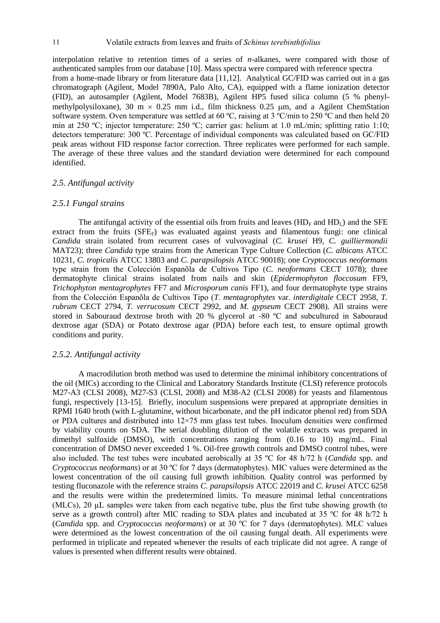interpolation relative to retention times of a series of *n*-alkanes, were compared with those of authenticated samples from our database [10]. Mass spectra were compared with reference spectra from a home-made library or from literature data [11,12]. Analytical GC/FID was carried out in a gas chromatograph (Agilent, Model 7890A, Palo Alto, CA), equipped with a flame ionization detector (FID), an autosampler (Agilent, Model 7683B), Agilent HP5 fused silica column (5 % phenylmethylpolysiloxane), 30 m  $\times$  0.25 mm i.d., film thickness 0.25 µm, and a Agilent ChemStation software system. Oven temperature was settled at 60 °C, raising at 3 °C/min to 250 °C and then held 20 min at 250 ºC; injector temperature: 250 ºC; carrier gas: helium at 1.0 mL/min; splitting ratio 1:10; detectors temperature: 300 ºC. Percentage of individual components was calculated based on GC/FID peak areas without FID response factor correction. Three replicates were performed for each sample. The average of these three values and the standard deviation were determined for each compound identified.

#### *2.5. Antifungal activity*

#### *2.5.1 Fungal strains*

The antifungal activity of the essential oils from fruits and leaves  $(HD<sub>F</sub>$  and  $HD<sub>L</sub>)$  and the SFE extract from the fruits  $(SFE<sub>F</sub>)$  was evaluated against yeasts and filamentous fungi: one clinical *Candida* strain isolated from recurrent cases of vulvovaginal (*C. krusei* H9, *C. guilliermondii* MAT23); three *Candida* type strains from the American Type Culture Collection (*C. albicans* ATCC 10231, *C. tropicalis* ATCC 13803 and *C. parapsilopsis* ATCC 90018); one *Cryptococcus neoformans* type strain from the Colección Espanõla de Cultivos Tipo (*C. neoformans* CECT 1078); three dermatophyte clinical strains isolated from nails and skin (*Epidermophyton floccosum* FF9, *Trichophyton mentagrophytes* FF7 and *Microsporum canis* FF1), and four dermatophyte type strains from the Colección Espanõla de Cultivos Tipo (*T. mentagrophytes* var. *interdigitale* CECT 2958, *T. rubrum* CECT 2794, *T. verrucosum* CECT 2992, and *M. gypseum* CECT 2908). All strains were stored in Sabouraud dextrose broth with 20 % glycerol at -80 ºC and subcultured in Sabouraud dextrose agar (SDA) or Potato dextrose agar (PDA) before each test, to ensure optimal growth conditions and purity.

### *2.5.2. Antifungal activity*

A macrodilution broth method was used to determine the minimal inhibitory concentrations of the oil (MICs) according to the Clinical and Laboratory Standards Institute (CLSI) reference protocols M27-A3 (CLSI 2008), M27-S3 (CLSI, 2008) and M38-A2 (CLSI 2008) for yeasts and filamentous fungi, respectively [13-15]. Briefly, inoculum suspensions were prepared at appropriate densities in RPMI 1640 broth (with L-glutamine, without bicarbonate, and the pH indicator phenol red) from SDA or PDA cultures and distributed into 12×75 mm glass test tubes. Inoculum densities were confirmed by viability counts on SDA. The serial doubling dilution of the volatile extracts was prepared in dimethyl sulfoxide (DMSO), with concentrations ranging from (0.16 to 10) mg/mL. Final concentration of DMSO never exceeded 1 %. Oil-free growth controls and DMSO control tubes, were also included. The test tubes were incubated aerobically at 35 ºC for 48 h/72 h (*Candida* spp. and *Cryptococcus neoformans*) or at 30 ºC for 7 days (dermatophytes). MIC values were determined as the lowest concentration of the oil causing full growth inhibition. Quality control was performed by testing fluconazole with the reference strains *C. parapsilopsis* ATCC 22019 and *C. krusei* ATCC 6258 and the results were within the predetermined limits. To measure minimal lethal concentrations (MLCs), 20 µL samples were taken from each negative tube, plus the first tube showing growth (to serve as a growth control) after MIC reading to SDA plates and incubated at 35 °C for 48 h/72 h (*Candida* spp. and *Cryptococcus neoformans*) or at 30 ºC for 7 days (dermatophytes). MLC values were determined as the lowest concentration of the oil causing fungal death. All experiments were performed in triplicate and repeated whenever the results of each triplicate did not agree. A range of values is presented when different results were obtained.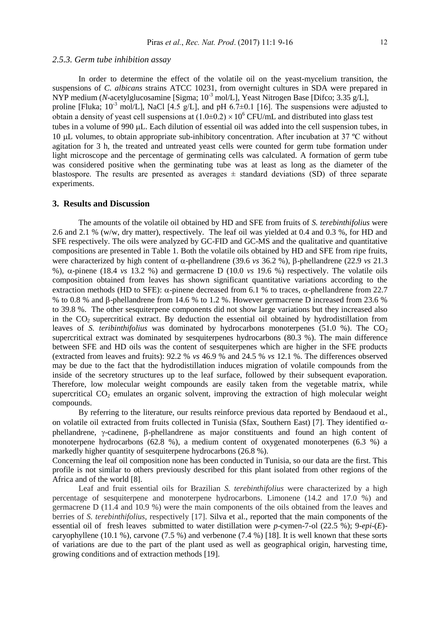#### *2.5.3. Germ tube inhibition assay*

In order to determine the effect of the volatile oil on the yeast-mycelium transition, the suspensions of *C. albicans* strains ATCC 10231, from overnight cultures in SDA were prepared in NYP medium (*N*-acetylglucosamine [Sigma; 10<sup>-3</sup> mol/L], Yeast Nitrogen Base [Difco; 3.35 g/L], proline [Fluka;  $10^{-3}$  mol/L], NaCl [4.5 g/L], and pH 6.7 $\pm$ 0.1 [16]. The suspensions were adjusted to obtain a density of yeast cell suspensions at  $(1.0\pm0.2) \times 10^6$  CFU/mL and distributed into glass test tubes in a volume of 990 LL. Each dilution of essential oil was added into the cell suspension tubes, in 10  $\mu$  volumes, to obtain appropriate sub-inhibitory concentration. After incubation at 37 °C without agitation for 3 h, the treated and untreated yeast cells were counted for germ tube formation under light microscope and the percentage of germinating cells was calculated. A formation of germ tube was considered positive when the germinating tube was at least as long as the diameter of the blastospore. The results are presented as averages  $\pm$  standard deviations (SD) of three separate experiments.

#### **3. Results and Discussion**

The amounts of the volatile oil obtained by HD and SFE from fruits of *S. terebinthifolius* were 2.6 and 2.1 % (w/w, dry matter), respectively. The leaf oil was yielded at 0.4 and 0.3 %, for HD and SFE respectively. The oils were analyzed by GC-FID and GC-MS and the qualitative and quantitative compositions are presented in Table 1. Both the volatile oils obtained by HD and SFE from ripe fruits, were characterized by high content of  $\alpha$ -phellandrene (39.6 *vs* 36.2 %),  $\beta$ -phellandrene (22.9 *vs* 21.3 %),  $\alpha$ -pinene (18.4 *vs* 13.2 %) and germacrene D (10.0 *vs* 19.6 %) respectively. The volatile oils composition obtained from leaves has shown significant quantitative variations according to the extraction methods (HD to SFE):  $\alpha$ -pinene decreased from 6.1 % to traces,  $\alpha$ -phellandrene from 22.7 % to 0.8 % and  $\beta$ -phellandrene from 14.6 % to 1.2 %. However germacrene D increased from 23.6 % to 39.8 %. The other sesquiterpene components did not show large variations but they increased also in the CO<sub>2</sub> supercritical extract. By deduction the essential oil obtained by hydrodistillation from leaves of *S. teribinthifolius* was dominated by hydrocarbons monoterpenes (51.0 %). The  $CO<sub>2</sub>$ supercritical extract was dominated by sesquiterpenes hydrocarbons (80.3 %). The main difference between SFE and HD oils was the content of sesquiterpenes which are higher in the SFE products (extracted from leaves and fruits): 92.2 % *vs* 46.9 % and 24.5 % *vs* 12.1 %. The differences observed may be due to the fact that the hydrodistillation induces migration of volatile compounds from the inside of the secretory structures up to the leaf surface, followed by their subsequent evaporation. Therefore, low molecular weight compounds are easily taken from the vegetable matrix, while supercritical  $CO<sub>2</sub>$  emulates an organic solvent, improving the extraction of high molecular weight compounds.

By referring to the literature, our results reinforce previous data reported by Bendaoud et al., on volatile oil extracted from fruits collected in Tunisia (Sfax, Southern East) [7]. They identified  $\alpha$  $phellandrene$ ,  $\gamma$ -cadinene,  $\beta$ -phellandrene as major constituents and found an high content of monoterpene hydrocarbons (62.8 %), a medium content of oxygenated monoterpenes (6.3 %) a markedly higher quantity of sesquiterpene hydrocarbons (26.8 %).

Concerning the leaf oil composition none has been conducted in Tunisia, so our data are the first. This profile is not similar to others previously described for this plant isolated from other regions of the Africa and of the world [8].

Leaf and fruit essential oils for Brazilian *S. terebinthifolius* were characterized by a high percentage of sesquiterpene and monoterpene hydrocarbons. Limonene (14.2 and 17.0 %) and germacrene D (11.4 and 10.9 %) were the main components of the oils obtained from the leaves and berries of *S. terebinthifolius*, respectively [17]. Silva et al., reported that the main components of the essential oil of fresh leaves submitted to water distillation were *p*-cymen-7-ol (22.5 %); 9-*epi*-(*E*) caryophyllene (10.1 %), carvone (7.5 %) and verbenone (7.4 %) [18]. It is well known that these sorts of variations are due to the part of the plant used as well as geographical origin, harvesting time, growing conditions and of extraction methods [19].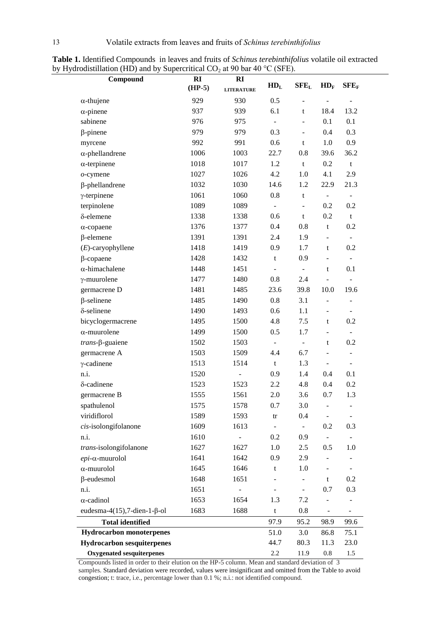| Compound                                 | RI       | <b>RI</b>         | HD <sub>L</sub>          | $SFE_L$                  | $HD_F$                       | $SFE_F$                  |
|------------------------------------------|----------|-------------------|--------------------------|--------------------------|------------------------------|--------------------------|
|                                          | $(HP-5)$ | <b>LITERATURE</b> |                          |                          |                              |                          |
| $\alpha$ -thujene                        | 929      | 930               | 0.5                      | $\overline{a}$           |                              | $\overline{a}$           |
| $\alpha$ -pinene                         | 937      | 939               | 6.1                      | $\mathbf t$              | 18.4                         | 13.2                     |
| sabinene                                 | 976      | 975               | $\blacksquare$           |                          | 0.1                          | 0.1                      |
| $\beta$ -pinene                          | 979      | 979               | 0.3                      | $\overline{\phantom{a}}$ | 0.4                          | 0.3                      |
| myrcene                                  | 992      | 991               | 0.6                      | $\mathbf t$              | 1.0                          | 0.9                      |
| $\alpha$ -phellandrene                   | 1006     | 1003              | 22.7                     | 0.8                      | 39.6                         | 36.2                     |
| $\alpha$ -terpinene                      | 1018     | 1017              | 1.2                      | $\mathbf t$              | 0.2                          | $\mathbf t$              |
| $o$ -cymene                              | 1027     | 1026              | 4.2                      | 1.0                      | 4.1                          | 2.9                      |
| $\beta$ -phellandrene                    | 1032     | 1030              | 14.6                     | 1.2                      | 22.9                         | 21.3                     |
| $\gamma$ -terpinene                      | 1061     | 1060              | 0.8                      | $\mathbf t$              | $\blacksquare$               | $\overline{\phantom{a}}$ |
| terpinolene                              | 1089     | 1089              | $\overline{\phantom{0}}$ | $\overline{a}$           | 0.2                          | 0.2                      |
| δ-elemene                                | 1338     | 1338              | 0.6                      | $\mathbf t$              | 0.2                          | $\mathbf t$              |
| $\alpha$ -copaene                        | 1376     | 1377              | 0.4                      | 0.8                      | t                            | 0.2                      |
| $\beta$ -elemene                         | 1391     | 1391              | 2.4                      | 1.9                      |                              | $\overline{\phantom{a}}$ |
| $(E)$ -caryophyllene                     | 1418     | 1419              | 0.9                      | 1.7                      | $\mathbf t$                  | 0.2                      |
| $\beta$ -copaene                         | 1428     | 1432              | $\mathbf t$              | 0.9                      | $\qquad \qquad \blacksquare$ | $\overline{\phantom{a}}$ |
| $\alpha$ -himachalene                    | 1448     | 1451              | $\Box$                   | $\blacksquare$           | t                            | 0.1                      |
| $\gamma$ -muurolene                      | 1477     | 1480              | 0.8                      | 2.4                      |                              |                          |
| germacrene D                             | 1481     | 1485              | 23.6                     | 39.8                     | 10.0                         | 19.6                     |
| $\beta$ -selinene                        | 1485     | 1490              | 0.8                      | 3.1                      |                              | $\frac{1}{2}$            |
| δ-selinene                               | 1490     | 1493              | 0.6                      | 1.1                      | $\overline{a}$               | $\overline{\phantom{a}}$ |
| bicyclogermacrene                        | 1495     | 1500              | 4.8                      | 7.5                      | t                            | 0.2                      |
| $\alpha$ -muurolene                      | 1499     | 1500              | 0.5                      | 1.7                      | ÷                            | $\overline{\phantom{a}}$ |
| $trans$ - $\beta$ -guaiene               | 1502     | 1503              | $\blacksquare$           | $\blacksquare$           | t                            | 0.2                      |
| germacrene A                             | 1503     | 1509              | 4.4                      | 6.7                      |                              | $\overline{\phantom{a}}$ |
| $\gamma$ -cadinene                       | 1513     | 1514              | t                        | 1.3                      | $\overline{\phantom{a}}$     | $\overline{\phantom{a}}$ |
| n.i.                                     | 1520     | ÷,                | 0.9                      | 1.4                      | 0.4                          | 0.1                      |
| δ-cadinene                               | 1523     | 1523              | 2.2                      | 4.8                      | 0.4                          | 0.2                      |
| germacrene B                             | 1555     | 1561              | 2.0                      | 3.6                      | 0.7                          | 1.3                      |
| spathulenol                              | 1575     | 1578              | 0.7                      | 3.0                      |                              | $\frac{1}{2}$            |
| viridiflorol                             | 1589     | 1593              | $\mathop{\mathrm{tr}}$   | 0.4                      |                              | $\overline{\phantom{0}}$ |
| cis-isolongifolanone                     | 1609     | 1613              |                          |                          | 0.2                          | 0.3                      |
| n.i.                                     | 1610     |                   | 0.2                      | 0.9                      |                              |                          |
| trans-isolongifolanone                   | 1627     | 1627              | $1.0\,$                  | 2.5                      | 0.5                          | 1.0                      |
| $epi$ - $\alpha$ -muurolol               | 1641     | 1642              | 0.9                      | 2.9                      |                              |                          |
| $\alpha$ -muurolol                       | 1645     | 1646              | t                        | 1.0                      |                              | $\overline{\phantom{0}}$ |
| $\beta$ -eudesmol                        | 1648     | 1651              |                          |                          | t                            | 0.2                      |
| n.i.                                     | 1651     |                   |                          |                          | 0.7                          | 0.3                      |
| $\alpha$ -cadinol                        | 1653     | 1654              | 1.3                      | 7.2                      |                              |                          |
| eudesma-4 $(15)$ , 7-dien-1- $\beta$ -ol | 1683     | 1688              | $\mathbf t$              | 0.8                      |                              |                          |
| <b>Total identified</b>                  |          |                   | 97.9                     | 95.2                     | 98.9                         | 99.6                     |
| <b>Hydrocarbon monoterpenes</b>          |          |                   | 51.0                     | 3.0                      | 86.8                         | 75.1                     |
| <b>Hydrocarbon sesquiterpenes</b>        |          |                   | 44.7                     | 80.3                     | 11.3                         | 23.0                     |
| <b>Oxygenated sesquiterpenes</b>         |          |                   | 2.2                      | 11.9                     | $0.8\,$                      | 1.5                      |

**Table 1.** Identified Compounds in leaves and fruits of *Schinus terebinthifolius* volatile oil extracted by Hydrodistillation (HD) and by Supercritical  $CO_2$  at 90 bar 40 °C (SFE).

Compounds listed in order to their elution on the HP-5 column. Mean and standard deviation of 3 samples. Standard deviation were recorded, values were insignificant and omitted from the Table to avoid congestion; t: trace, i.e., percentage lower than 0.1 %; n.i.: not identified compound.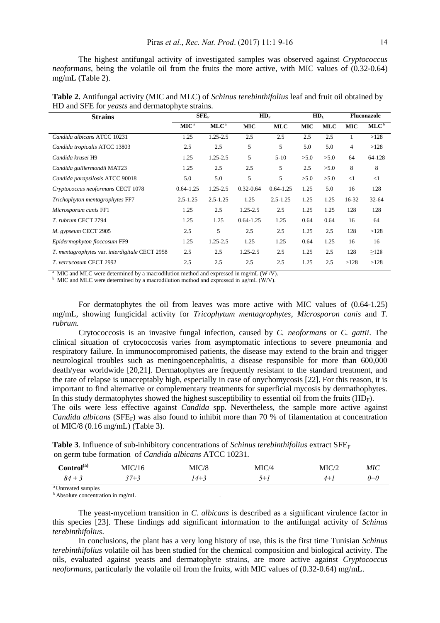The highest antifungal activity of investigated samples was observed against *Cryptococcus neoformans*, being the volatile oil from the fruits the more active, with MIC values of (0.32-0.64) mg/mL (Table 2).

| <b>Strains</b>                                 | л.<br>$SFE_F$    |                  | $HD_F$        |               | HD <sub>L</sub> |            | <b>Fluconazole</b> |                  |
|------------------------------------------------|------------------|------------------|---------------|---------------|-----------------|------------|--------------------|------------------|
|                                                | MIC <sup>a</sup> | MLC <sup>a</sup> | <b>MIC</b>    | <b>MLC</b>    | <b>MIC</b>      | <b>MLC</b> | <b>MIC</b>         | MLC <sup>b</sup> |
| Candida albicans ATCC 10231                    | 1.25             | $1.25 - 2.5$     | 2.5           | 2.5           | 2.5             | 2.5        |                    | >128             |
| Candida tropicalis ATCC 13803                  | 2.5              | 2.5              | 5             | 5             | 5.0             | 5.0        | 4                  | >128             |
| Candida krusei H9                              | 1.25             | $1.25 - 2.5$     | 5             | $5-10$        | >5.0            | >5.0       | 64                 | 64-128           |
| Candida guillermondii MAT23                    | 1.25             | 2.5              | 2.5           | 5             | 2.5             | >5.0       | 8                  | 8                |
| Candida parapsilosis ATCC 90018                | 5.0              | 5.0              | 5             | 5             | >5.0            | >5.0       | $\leq$ 1           | $\leq$ 1         |
| Cryptococcus neoformans CECT 1078              | $0.64 - 1.25$    | $1.25 - 2.5$     | $0.32 - 0.64$ | $0.64 - 1.25$ | 1.25            | 5.0        | 16                 | 128              |
| Trichophyton mentagrophytes FF7                | $2.5 - 1.25$     | $2.5 - 1.25$     | 1.25          | $2.5 - 1.25$  | 1.25            | 1.25       | 16-32              | $32 - 64$        |
| Microsporum canis FF1                          | 1.25             | 2.5              | $1.25 - 2.5$  | 2.5           | 1.25            | 1.25       | 128                | 128              |
| T. rubrum CECT 2794                            | 1.25             | 1.25             | $0.64 - 1.25$ | 1.25          | 0.64            | 0.64       | 16                 | 64               |
| M. gypseum CECT 2905                           | 2.5              | 5                | 2.5           | 2.5           | 1.25            | 2.5        | 128                | >128             |
| Epidermophyton floccosum FF9                   | 1.25             | $1.25 - 2.5$     | 1.25          | 1.25          | 0.64            | 1.25       | 16                 | 16               |
| T. mentagrophytes var. interdigitale CECT 2958 | 2.5              | 2.5              | $1.25 - 2.5$  | 2.5           | 1.25            | 2.5        | 128                | $\geq$ 128       |
| T. verrucosum CECT 2992                        | 2.5              | 2.5              | 2.5           | 2.5           | 1.25            | 2.5        | >128               | >128             |

| Table 2. Antifungal activity (MIC and MLC) of <i>Schinus terebinthifolius</i> leaf and fruit oil obtained by |  |
|--------------------------------------------------------------------------------------------------------------|--|
| HD and SFE for <i>yeasts</i> and dermatophyte strains.                                                       |  |

 $^{\text{a}}$  MIC and MLC were determined by a macrodilution method and expressed in mg/mL (W/V).

<sup>b</sup> MIC and MLC were determined by a macrodilution method and expressed in  $\mu$ g/mL (W/V).

For dermatophytes the oil from leaves was more active with MIC values of (0.64-1.25) mg/mL, showing fungicidal activity for *Tricophytum mentagrophytes*, *Microsporon canis* and *T. rubrum.*

Crytococcosis is an invasive fungal infection, caused by *C. neoformans* or *C. gattii*. The clinical situation of crytococcosis varies from asymptomatic infections to severe pneumonia and respiratory failure. In immunocompromised patients, the disease may extend to the brain and trigger neurological troubles such as meningoencephalitis, a disease responsible for more than 600,000 death/year worldwide [20,21]. Dermatophytes are frequently resistant to the standard treatment, and the rate of relapse is unacceptably high, especially in case of onychomycosis [22]. For this reason, it is important to find alternative or complementary treatments for superficial mycosis by dermathophytes. In this study dermatophytes showed the highest susceptibility to essential oil from the fruits  $(HD_F)$ .

The oils were less effective against *Candida* spp. Nevertheless, the sample more active against *Candida albicans* (SFE<sub>F</sub>) was also found to inhibit more than 70 % of filamentation at concentration of MIC/8 (0.16 mg/mL) (Table 3).

**Table 3**. Influence of sub-inhibitory concentrations of *Schinus terebinthifolius* extract SFE<sub>F</sub> on germ tube formation of *Candida albicans* ATCC 10231.

| $\mathcal L$ ontrol $^{\text{(a)}}$ | MIC/16     | MIC/8    | MIC/4     | MIC/   | MIC                          |
|-------------------------------------|------------|----------|-----------|--------|------------------------------|
| $84\pm3$                            | $37 \pm 3$ | $14\pm3$ | $J \pm I$ | $4\pm$ | $\theta \scriptstyle{\pm 0}$ |
| <sup>a</sup> Untrooted complete     |            |          |           |        |                              |

<sup>a</sup> Untreated samples

<sup>b</sup> Absolute concentration in mg/mL .

The yeast-mycelium transition in *C. albicans* is described as a significant virulence factor in this species [23]. These findings add significant information to the antifungal activity of *Schinus terebinthifolius*.

In conclusions, the plant has a very long history of use, this is the first time Tunisian *Schinus terebinthifolius* volatile oil has been studied for the chemical composition and biological activity. The oils, evaluated against yeasts and dermatophyte strains, are more active against *Cryptococcus neoformans*, particularly the volatile oil from the fruits, with MIC values of (0.32-0.64) mg/mL.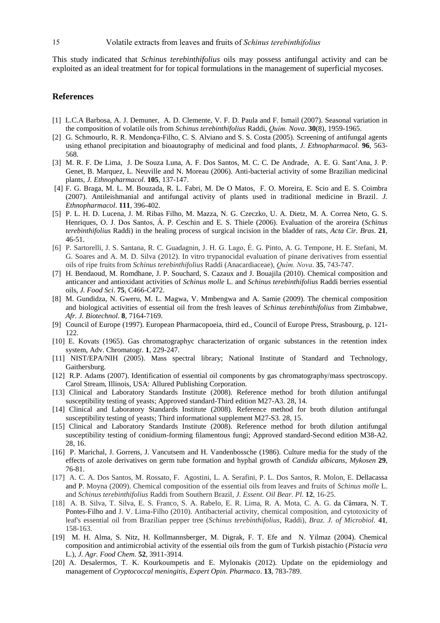This study indicated that *Schinus terebinthifolius* oils may possess antifungal activity and can be exploited as an ideal treatment for for topical formulations in the management of superficial mycoses.

## **References**

- [1] L.C.A Barbosa, A. J. Demuner, A. D. Clemente, V. F. D. Paula and F. Ismail (2007). Seasonal variation in the composition of volatile oils from *Schinus terebinthifolius* Raddi, *Quím. Nova*. **30**(8), 1959-1965.
- [2] G. Schmourlo, R. R. Mendonça-Filho, C. S. Alviano and S. S. Costa (2005). Screening of antifungal agents using ethanol precipitation and bioautography of medicinal and food plants, *J. Ethnopharmacol*. **96**, 563- 568.
- [3] M. R. F. De Lima, J. De Souza Luna, A. F. Dos Santos, M. C. C. De Andrade, A. E. G. Sant'Ana, J. P. Genet, B. Marquez, L. Neuville and N. Moreau (2006). Anti-bacterial activity of some Brazilian medicinal plants, *J. Ethnopharmacol*. **105**, 137-147.
- [4] F. G. Braga, M. L. M. Bouzada, R. L. Fabri, M. De O Matos, F. O. Moreira, E. Scio and E. S. Coimbra (2007). Antileishmanial and antifungal activity of plants used in traditional medicine in Brazil. *J. Ethnopharmacol*. **111**, 396-402.
- [5] P. L. H. D. Lucena, J. M. Ribas Filho, M. Mazza, N. G. Czeczko, U. A. Dietz, M. A. Correa Neto, G. S. Henriques, O. J. Dos Santos, Á. P. Ceschin and E. S. Thiele (2006). Evaluation of the aroreira (*Schinus terebinthifolius* Raddi) in the healing process of surgical incision in the bladder of rats, *Acta Cir. Bras*. **21**, 46-51.
- [6] P. Sartorelli, J. S. Santana, R. C. Guadagnin, J. H. G. Lago, É. G. Pinto, A. G. Tempone, H. E. Stefani, M. G. Soares and A. M. D. Silva (2012). In vitro trypanocidal evaluation of pinane derivatives from essential oils of ripe fruits from *Schinus terebinthifolius* Raddi (Anacardiaceae), *Quím. Nova*. **35**, 743-747.
- [7] H. Bendaoud, M. Romdhane, J. P. Souchard, S. Cazaux and J. Bouajila (2010). Chemical composition and anticancer and antioxidant activities of *Schinus molle* L. and *Schinus terebinthifolius* Raddi berries essential oils, *J. Food Sci*. **75**, C466-C472.
- [8] M. Gundidza, N. Gweru, M. L. Magwa, V. Mmbengwa and A. Samie (2009). The chemical composition and biological activities of essential oil from the fresh leaves of *Schinus terebinthifolius* from Zimbabwe, *Afr. J. Biotechnol*. **8**, 7164-7169.
- [9] Council of Europe (1997). European Pharmacopoeia, third ed., Council of Europe Press, Strasbourg, p. 121- 122.
- [10] E. Kovats (1965). Gas chromatographyc characterization of organic substances in the retention index system, Adv. Chromatogr. **1**, 229-247.
- [11] NIST/EPA/NIH (2005). Mass spectral library; National Institute of Standard and Technology, Gaithersburg.
- [12] R.P. Adams (2007). Identification of essential oil components by gas chromatography/mass spectroscopy. Carol Stream, Illinois, USA: Allured Publishing Corporation.
- [13] Clinical and Laboratory Standards Institute (2008). Reference method for broth dilution antifungal susceptibility testing of yeasts; Approved standard-Third edition M27-A3. 28, 14.
- [14] Clinical and Laboratory Standards Institute (2008). Reference method for broth dilution antifungal susceptibility testing of yeasts; Third informational supplement M27-S3. 28, 15.
- [15] Clinical and Laboratory Standards Institute (2008). Reference method for broth dilution antifungal susceptibility testing of conidium-forming filamentous fungi; Approved standard-Second edition M38-A2. 28, 16.
- [16] P. Marichal, J. Gorrens, J. Vancutsem and H. Vandenbossche (1986). Culture media for the study of the effects of azole derivatives on germ tube formation and hyphal growth of *Candida albicans*, *Mykosen* **29**, 76-81.
- [17] A. C. A. Dos Santos, M. Rossato, F. Agostini, L. A. Serafini, P. L. Dos Santos, R. Molon, E. Dellacassa and P. Moyna (2009). Chemical composition of the essential oils from leaves and fruits of *Schinus molle* L. and *Schinus terebinthifolius* Raddi from Southern Brazil, *J. Essent. Oil Bear. Pl*. **12**, 16-25.
- [18] A. B. Silva, T. Silva, E. S. Franco, S. A. Rabelo, E. R. Lima, R. A. Mota, C. A. G. da Câmara, N. T. Pontes-Filho and J. V. Lima-Filho (2010). Antibacterial activity, chemical composition, and cytotoxicity of leaf's essential oil from Brazilian pepper tree (*Schinus terebinthifolius*, Raddi), *Braz. J. of Microbiol*. **41**, 158-163.
- [19] M. H. Alma, S. Nitz, H. Kollmannsberger, M. Digrak, F. T. Efe and N. Yilmaz (2004). Chemical composition and antimicrobial activity of the essential oils from the gum of Turkish pistachio (*Pistacia vera* L.), *J. Agr. Food Chem.* **52**, 3911-3914.
- [20] A. Desalermos, T. K. Kourkoumpetis and E. Mylonakis (2012). Update on the epidemiology and management of *Cryptococcal meningitis*, *Expert Opin. Pharmaco*. **13**, 783-789.